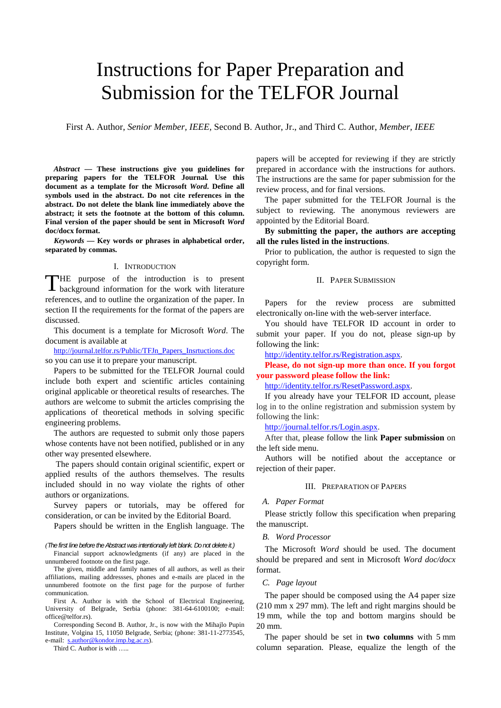# Instructions for Paper Preparation and Submission for the TELFOR Journal

First A. Author, *Senior Member, IEEE,* Second B. Author, Jr., and Third C. Author, *Member, IEEE*

*Abstract* **— These instructions give you guidelines for preparing papers for the TELFOR Journal***.* **Use this document as a template for the Microsoft** *Word***. Define all symbols used in the abstract. Do not cite references in the abstract. Do not delete the blank line immediately above the abstract; it sets the footnote at the bottom of this column. Final version of the paper should be sent in Microsoft** *Word* **doc/docx format.** 

*Keywords* **— Key words or phrases in alphabetical order, separated by commas.** 

#### I. INTRODUCTION

HE purpose of the introduction is to present THE purpose of the introduction is to present background information for the work with literature references, and to outline the organization of the paper. In section II the requirements for the format of the papers are discussed.

This document is a template for Microsoft *Word*. The document is available at

http://journal.telfor.rs/Public/TFJn\_Papers\_Insrtuctions.doc

so you can use it to prepare your manuscript.

Papers to be submitted for the TELFOR Journal could include both expert and scientific articles containing original applicable or theoretical results of researches. The authors are welcome to submit the articles comprising the applications of theoretical methods in solving specific engineering problems.

The authors are requested to submit only those papers whose contents have not been notified, published or in any other way presented elsewhere.

 The papers should contain original scientific, expert or applied results of the authors themselves. The results included should in no way violate the rights of other authors or organizations.

Survey papers or tutorials, may be offered for consideration, or can be invited by the Editorial Board.

Papers should be written in the English language. The

*(The first line before the Abstract was intentionally left blank. Do not delete it.)* 

Financial support acknowledgments (if any) are placed in the unnumbered footnote on the first page.

The given, middle and family names of all authors, as well as their affiliations, mailing addressses, phones and e-mails are placed in the unnumbered footnote on the first page for the purpose of further communication.

First A. Author is with the School of Electrical Engineering, University of Belgrade, Serbia (phone: 381-64-6100100; e-mail: office@telfor.rs).

Corresponding Second B. Author, Jr., is now with the Mihajlo Pupin Institute, Volgina 15, 11050 Belgrade, Serbia; (phone: 381-11-2773545, e-mail: s.author@kondor.imp.bg.ac.rs).

Third C. Author is with …..

papers will be accepted for reviewing if they are strictly prepared in accordance with the instructions for authors. The instructions are the same for paper submission for the review process, and for final versions.

The paper submitted for the TELFOR Journal is the subject to reviewing. The anonymous reviewers are appointed by the Editorial Board.

**By submitting the paper, the authors are accepting all the rules listed in the instructions**.

Prior to publication, the author is requested to sign the copyright form.

#### II. PAPER SUBMISSION

Papers for the review process are submitted electronically on-line with the web-server interface.

You should have TELFOR ID account in order to submit your paper. If you do not, please sign-up by following the link:

http://identity.telfor.rs/Registration.aspx.

**Please, do not sign-up more than once. If you forgot your password please follow the link:** 

http://identity.telfor.rs/ResetPassword.aspx.

If you already have your TELFOR ID account, please log in to the online registration and submission system by following the link:

http://journal.telfor.rs/Login.aspx.

After that, please follow the link **Paper submission** on the left side menu.

Authors will be notified about the acceptance or rejection of their paper.

#### III. PREPARATION OF PAPERS

## *A. Paper Format*

Please strictly follow this specification when preparing the manuscript.

## *B. Word Processor*

The Microsoft *Word* should be used. The document should be prepared and sent in Microsoft *Word doc/docx* format.

#### *C. Page layout*

The paper should be composed using the A4 paper size (210 mm x 297 mm). The left and right margins should be 19 mm, while the top and bottom margins should be 20 mm.

The paper should be set in **two columns** with 5 mm column separation. Please, equalize the length of the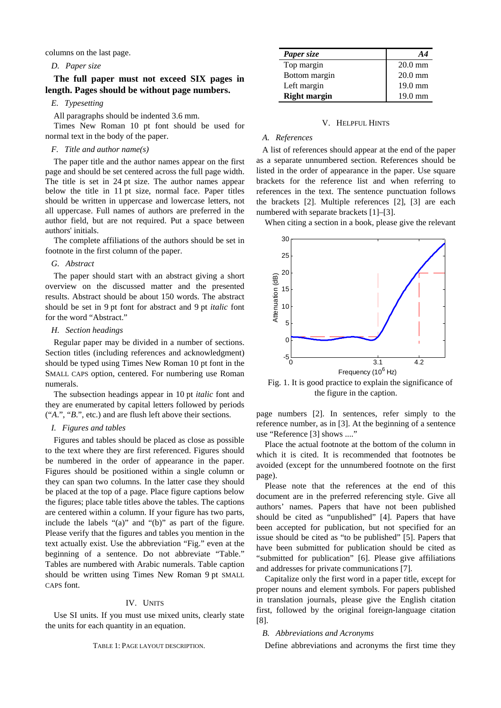columns on the last page.

# *D. Paper size*

**The full paper must not exceed SIX pages in length. Pages should be without page numbers.** 

# *E. Typesetting*

All paragraphs should be indented 3.6 mm.

Times New Roman 10 pt font should be used for normal text in the body of the paper.

### *F. Title and author name(s)*

The paper title and the author names appear on the first page and should be set centered across the full page width. The title is set in 24 pt size. The author names appear below the title in 11 pt size, normal face. Paper titles should be written in uppercase and lowercase letters, not all uppercase. Full names of authors are preferred in the author field, but are not required. Put a space between authors' initials.

The complete affiliations of the authors should be set in footnote in the first column of the paper.

#### *G. Abstract*

The paper should start with an abstract giving a short overview on the discussed matter and the presented results. Abstract should be about 150 words. The abstract should be set in 9 pt font for abstract and 9 pt *italic* font for the word "Abstract."

#### *H. Section headings*

Regular paper may be divided in a number of sections. Section titles (including references and acknowledgment) should be typed using Times New Roman 10 pt font in the SMALL CAPS option, centered. For numbering use Roman numerals.

The subsection headings appear in 10 pt *italic* font and they are enumerated by capital letters followed by periods ("*A*.", "*B*.", etc.) and are flush left above their sections.

## *I. Figures and tables*

Figures and tables should be placed as close as possible to the text where they are first referenced. Figures should be numbered in the order of appearance in the paper. Figures should be positioned within a single column or they can span two columns. In the latter case they should be placed at the top of a page. Place figure captions below the figures; place table titles above the tables. The captions are centered within a column. If your figure has two parts, include the labels "(a)" and "(b)" as part of the figure. Please verify that the figures and tables you mention in the text actually exist. Use the abbreviation "Fig." even at the beginning of a sentence. Do not abbreviate "Table." Tables are numbered with Arabic numerals. Table caption should be written using Times New Roman 9 pt SMALL CAPS font.

## IV. UNITS

Use SI units. If you must use mixed units, clearly state the units for each quantity in an equation.

#### TABLE 1: PAGE LAYOUT DESCRIPTION.

| Paper size          | A 4               |
|---------------------|-------------------|
| Top margin          | $20.0$ mm         |
| Bottom margin       | $20.0$ mm         |
| Left margin         | 19.0 mm           |
| <b>Right margin</b> | $19.0 \text{ mm}$ |

#### V. HELPFUL HINTS

#### *A. References*

A list of references should appear at the end of the paper as a separate unnumbered section. References should be listed in the order of appearance in the paper. Use square brackets for the reference list and when referring to references in the text. The sentence punctuation follows the brackets [2]. Multiple references [2], [3] are each numbered with separate brackets [1]–[3].

When citing a section in a book, please give the relevant



Fig. 1. It is good practice to explain the significance of the figure in the caption.

page numbers [2]. In sentences, refer simply to the reference number, as in [3]. At the beginning of a sentence use "Reference [3] shows ...."

Place the actual footnote at the bottom of the column in which it is cited. It is recommended that footnotes be avoided (except for the unnumbered footnote on the first page).

Please note that the references at the end of this document are in the preferred referencing style. Give all authors' names. Papers that have not been published should be cited as "unpublished" [4]. Papers that have been accepted for publication, but not specified for an issue should be cited as "to be published" [5]. Papers that have been submitted for publication should be cited as "submitted for publication" [6]. Please give affiliations and addresses for private communications [7].

Capitalize only the first word in a paper title, except for proper nouns and element symbols. For papers published in translation journals, please give the English citation first, followed by the original foreign-language citation [8].

#### *B. Abbreviations and Acronyms*

Define abbreviations and acronyms the first time they